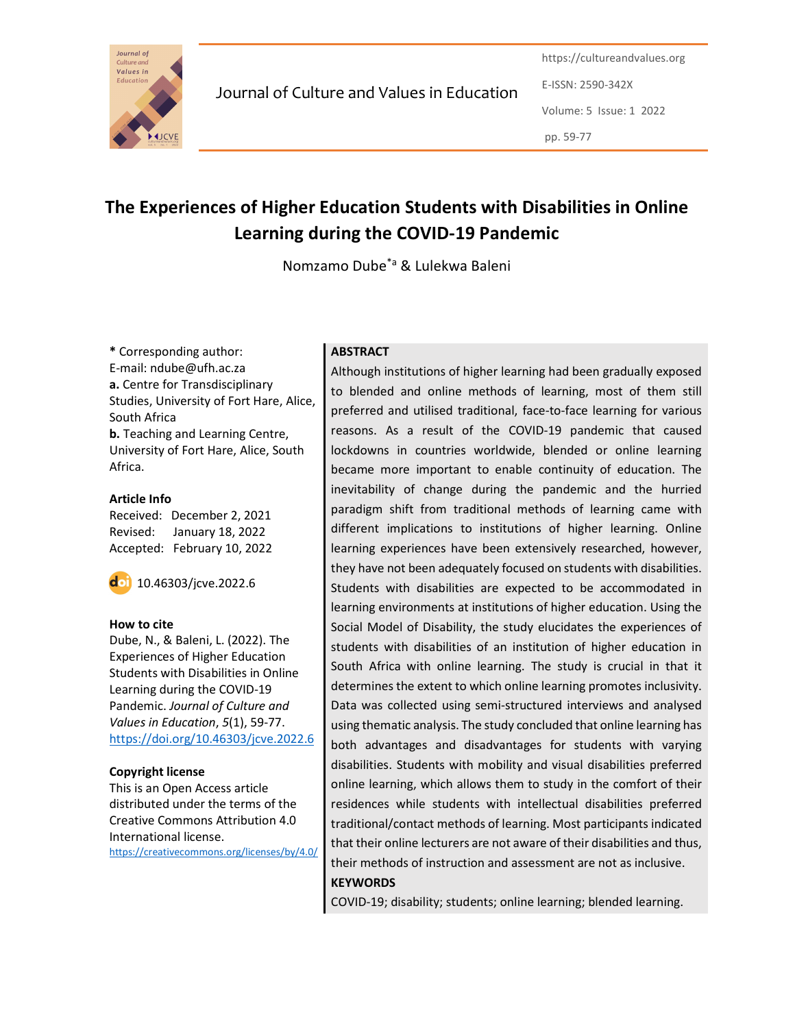

Journal of Culture and Values in Education

https://cultureandvalues.org E-ISSN: 2590-342X Volume: 5 Issue: 1 2022 pp. 59-77

# The Experiences of Higher Education Students with Disabilities in Online Learning during the COVID-19 Pandemic

Nomzamo Dube\*a & Lulekwa Baleni

\* Corresponding author: E-mail: ndube@ufh.ac.za a. Centre for Transdisciplinary Studies, University of Fort Hare, Alice, South Africa b. Teaching and Learning Centre, University of Fort Hare, Alice, South Africa.

#### Article Info Received: December 2, 2021 Revised: January 18, 2022 Accepted: February 10, 2022

10.46303/jcve.2022.6

#### How to cite

Dube, N., & Baleni, L. (2022). The Experiences of Higher Education Students with Disabilities in Online Learning during the COVID-19 Pandemic. Journal of Culture and Values in Education, 5(1), 59-77. https://doi.org/10.46303/jcve.2022.6

#### Copyright license

This is an Open Access article distributed under the terms of the Creative Commons Attribution 4.0 International license.

https://creativecommons.org/licenses/by/4.0/

## **ABSTRACT**

Although institutions of higher learning had been gradually exposed to blended and online methods of learning, most of them still preferred and utilised traditional, face-to-face learning for various reasons. As a result of the COVID-19 pandemic that caused lockdowns in countries worldwide, blended or online learning became more important to enable continuity of education. The inevitability of change during the pandemic and the hurried paradigm shift from traditional methods of learning came with different implications to institutions of higher learning. Online learning experiences have been extensively researched, however, they have not been adequately focused on students with disabilities. Students with disabilities are expected to be accommodated in learning environments at institutions of higher education. Using the Social Model of Disability, the study elucidates the experiences of students with disabilities of an institution of higher education in South Africa with online learning. The study is crucial in that it determines the extent to which online learning promotes inclusivity. Data was collected using semi-structured interviews and analysed using thematic analysis. The study concluded that online learning has both advantages and disadvantages for students with varying disabilities. Students with mobility and visual disabilities preferred online learning, which allows them to study in the comfort of their residences while students with intellectual disabilities preferred traditional/contact methods of learning. Most participants indicated that their online lecturers are not aware of their disabilities and thus, their methods of instruction and assessment are not as inclusive. **KEYWORDS** 

COVID-19; disability; students; online learning; blended learning.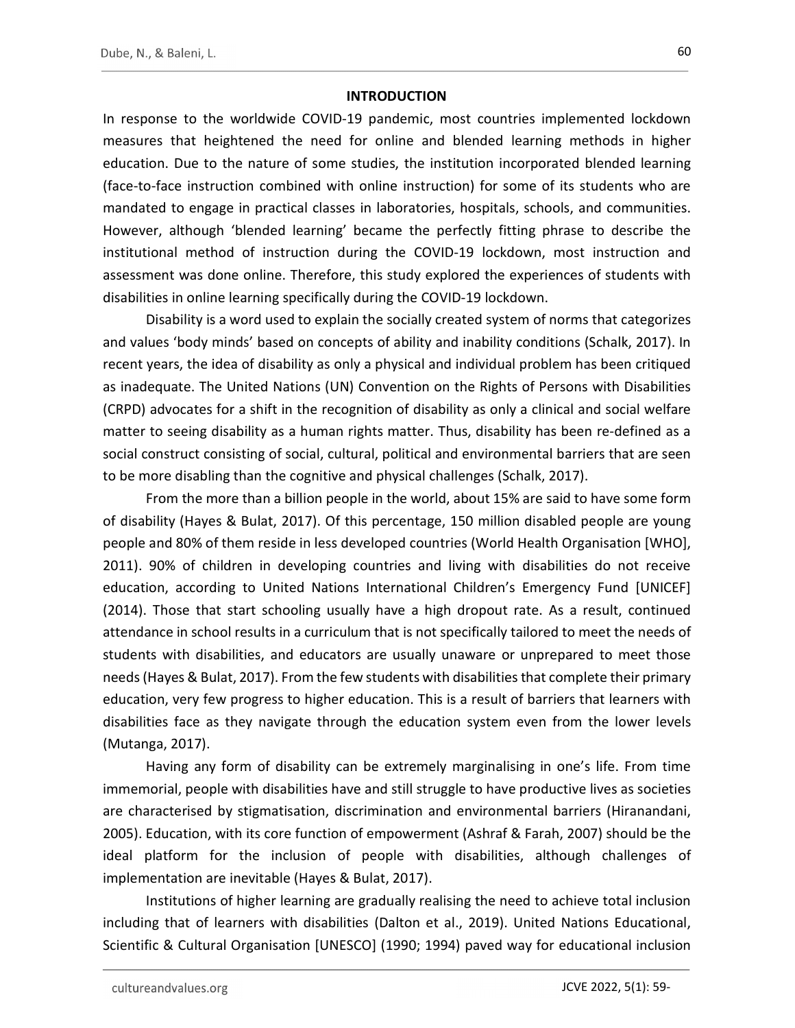#### **INTRODUCTION**

In response to the worldwide COVID-19 pandemic, most countries implemented lockdown measures that heightened the need for online and blended learning methods in higher education. Due to the nature of some studies, the institution incorporated blended learning (face-to-face instruction combined with online instruction) for some of its students who are mandated to engage in practical classes in laboratories, hospitals, schools, and communities. However, although 'blended learning' became the perfectly fitting phrase to describe the institutional method of instruction during the COVID-19 lockdown, most instruction and assessment was done online. Therefore, this study explored the experiences of students with disabilities in online learning specifically during the COVID-19 lockdown.

Disability is a word used to explain the socially created system of norms that categorizes and values 'body minds' based on concepts of ability and inability conditions (Schalk, 2017). In recent years, the idea of disability as only a physical and individual problem has been critiqued as inadequate. The United Nations (UN) Convention on the Rights of Persons with Disabilities (CRPD) advocates for a shift in the recognition of disability as only a clinical and social welfare matter to seeing disability as a human rights matter. Thus, disability has been re-defined as a social construct consisting of social, cultural, political and environmental barriers that are seen to be more disabling than the cognitive and physical challenges (Schalk, 2017).

From the more than a billion people in the world, about 15% are said to have some form of disability (Hayes & Bulat, 2017). Of this percentage, 150 million disabled people are young people and 80% of them reside in less developed countries (World Health Organisation [WHO], 2011). 90% of children in developing countries and living with disabilities do not receive education, according to United Nations International Children's Emergency Fund [UNICEF] (2014). Those that start schooling usually have a high dropout rate. As a result, continued attendance in school results in a curriculum that is not specifically tailored to meet the needs of students with disabilities, and educators are usually unaware or unprepared to meet those needs (Hayes & Bulat, 2017). From the few students with disabilities that complete their primary education, very few progress to higher education. This is a result of barriers that learners with disabilities face as they navigate through the education system even from the lower levels (Mutanga, 2017).

Having any form of disability can be extremely marginalising in one's life. From time immemorial, people with disabilities have and still struggle to have productive lives as societies are characterised by stigmatisation, discrimination and environmental barriers (Hiranandani, 2005). Education, with its core function of empowerment (Ashraf & Farah, 2007) should be the ideal platform for the inclusion of people with disabilities, although challenges of implementation are inevitable (Hayes & Bulat, 2017).

Institutions of higher learning are gradually realising the need to achieve total inclusion including that of learners with disabilities (Dalton et al., 2019). United Nations Educational, Scientific & Cultural Organisation [UNESCO] (1990; 1994) paved way for educational inclusion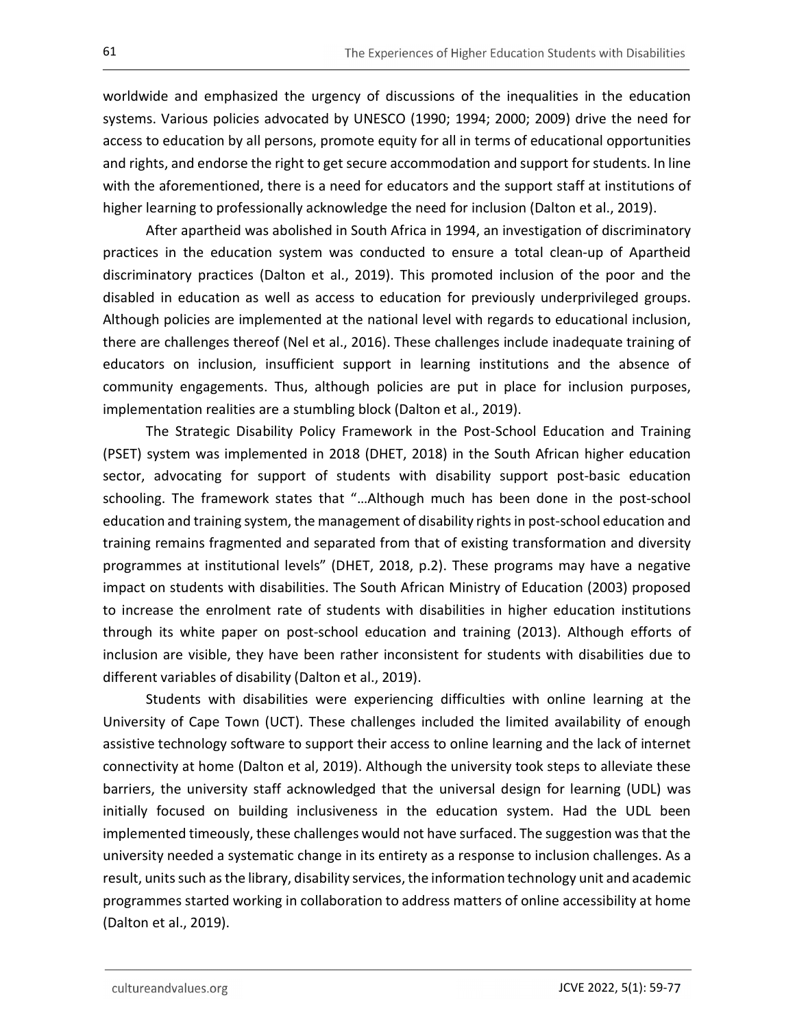worldwide and emphasized the urgency of discussions of the inequalities in the education systems. Various policies advocated by UNESCO (1990; 1994; 2000; 2009) drive the need for access to education by all persons, promote equity for all in terms of educational opportunities and rights, and endorse the right to get secure accommodation and support for students. In line with the aforementioned, there is a need for educators and the support staff at institutions of higher learning to professionally acknowledge the need for inclusion (Dalton et al., 2019).

After apartheid was abolished in South Africa in 1994, an investigation of discriminatory practices in the education system was conducted to ensure a total clean-up of Apartheid discriminatory practices (Dalton et al., 2019). This promoted inclusion of the poor and the disabled in education as well as access to education for previously underprivileged groups. Although policies are implemented at the national level with regards to educational inclusion, there are challenges thereof (Nel et al., 2016). These challenges include inadequate training of educators on inclusion, insufficient support in learning institutions and the absence of community engagements. Thus, although policies are put in place for inclusion purposes, implementation realities are a stumbling block (Dalton et al., 2019).

The Strategic Disability Policy Framework in the Post-School Education and Training (PSET) system was implemented in 2018 (DHET, 2018) in the South African higher education sector, advocating for support of students with disability support post-basic education schooling. The framework states that "…Although much has been done in the post-school education and training system, the management of disability rights in post-school education and training remains fragmented and separated from that of existing transformation and diversity programmes at institutional levels" (DHET, 2018, p.2). These programs may have a negative impact on students with disabilities. The South African Ministry of Education (2003) proposed to increase the enrolment rate of students with disabilities in higher education institutions through its white paper on post-school education and training (2013). Although efforts of inclusion are visible, they have been rather inconsistent for students with disabilities due to different variables of disability (Dalton et al., 2019).

Students with disabilities were experiencing difficulties with online learning at the University of Cape Town (UCT). These challenges included the limited availability of enough assistive technology software to support their access to online learning and the lack of internet connectivity at home (Dalton et al, 2019). Although the university took steps to alleviate these barriers, the university staff acknowledged that the universal design for learning (UDL) was initially focused on building inclusiveness in the education system. Had the UDL been implemented timeously, these challenges would not have surfaced. The suggestion was that the university needed a systematic change in its entirety as a response to inclusion challenges. As a result, units such as the library, disability services, the information technology unit and academic programmes started working in collaboration to address matters of online accessibility at home (Dalton et al., 2019).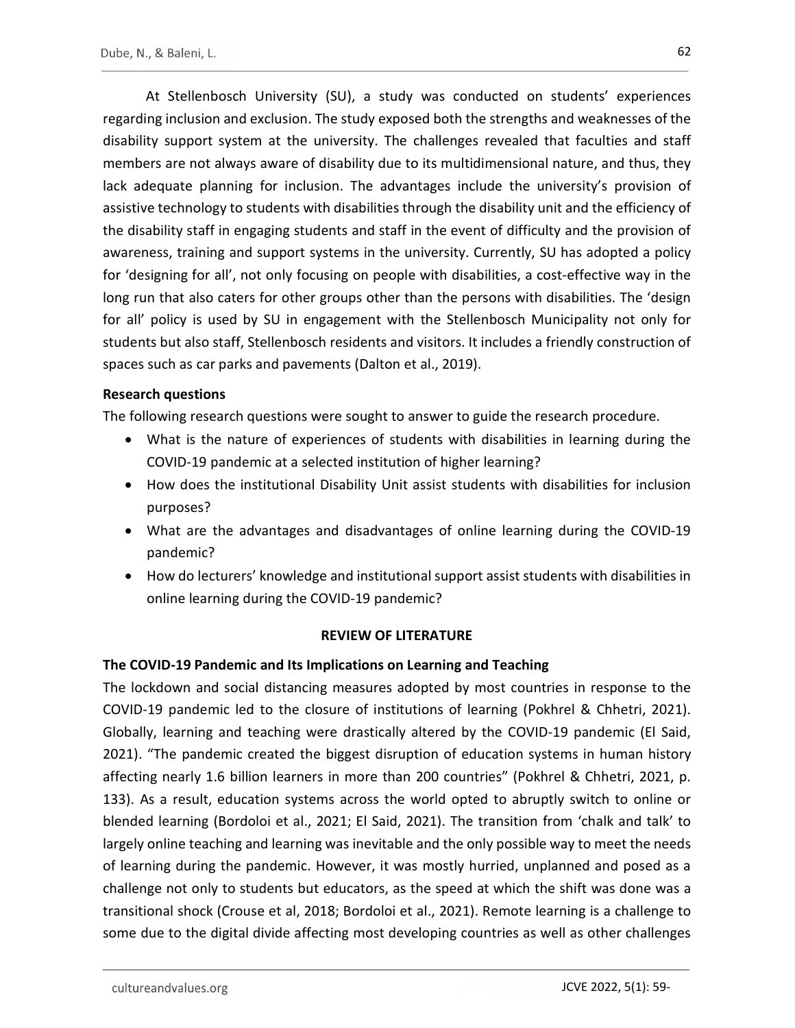At Stellenbosch University (SU), a study was conducted on students' experiences regarding inclusion and exclusion. The study exposed both the strengths and weaknesses of the disability support system at the university. The challenges revealed that faculties and staff members are not always aware of disability due to its multidimensional nature, and thus, they lack adequate planning for inclusion. The advantages include the university's provision of assistive technology to students with disabilities through the disability unit and the efficiency of the disability staff in engaging students and staff in the event of difficulty and the provision of awareness, training and support systems in the university. Currently, SU has adopted a policy for 'designing for all', not only focusing on people with disabilities, a cost-effective way in the long run that also caters for other groups other than the persons with disabilities. The 'design for all' policy is used by SU in engagement with the Stellenbosch Municipality not only for students but also staff, Stellenbosch residents and visitors. It includes a friendly construction of spaces such as car parks and pavements (Dalton et al., 2019).

#### Research questions

The following research questions were sought to answer to guide the research procedure.

- What is the nature of experiences of students with disabilities in learning during the COVID-19 pandemic at a selected institution of higher learning?
- How does the institutional Disability Unit assist students with disabilities for inclusion purposes?
- What are the advantages and disadvantages of online learning during the COVID-19 pandemic?
- How do lecturers' knowledge and institutional support assist students with disabilities in online learning during the COVID-19 pandemic?

#### REVIEW OF LITERATURE

#### The COVID-19 Pandemic and Its Implications on Learning and Teaching

The lockdown and social distancing measures adopted by most countries in response to the COVID-19 pandemic led to the closure of institutions of learning (Pokhrel & Chhetri, 2021). Globally, learning and teaching were drastically altered by the COVID-19 pandemic (El Said, 2021). "The pandemic created the biggest disruption of education systems in human history affecting nearly 1.6 billion learners in more than 200 countries" (Pokhrel & Chhetri, 2021, p. 133). As a result, education systems across the world opted to abruptly switch to online or blended learning (Bordoloi et al., 2021; El Said, 2021). The transition from 'chalk and talk' to largely online teaching and learning was inevitable and the only possible way to meet the needs of learning during the pandemic. However, it was mostly hurried, unplanned and posed as a challenge not only to students but educators, as the speed at which the shift was done was a transitional shock (Crouse et al, 2018; Bordoloi et al., 2021). Remote learning is a challenge to some due to the digital divide affecting most developing countries as well as other challenges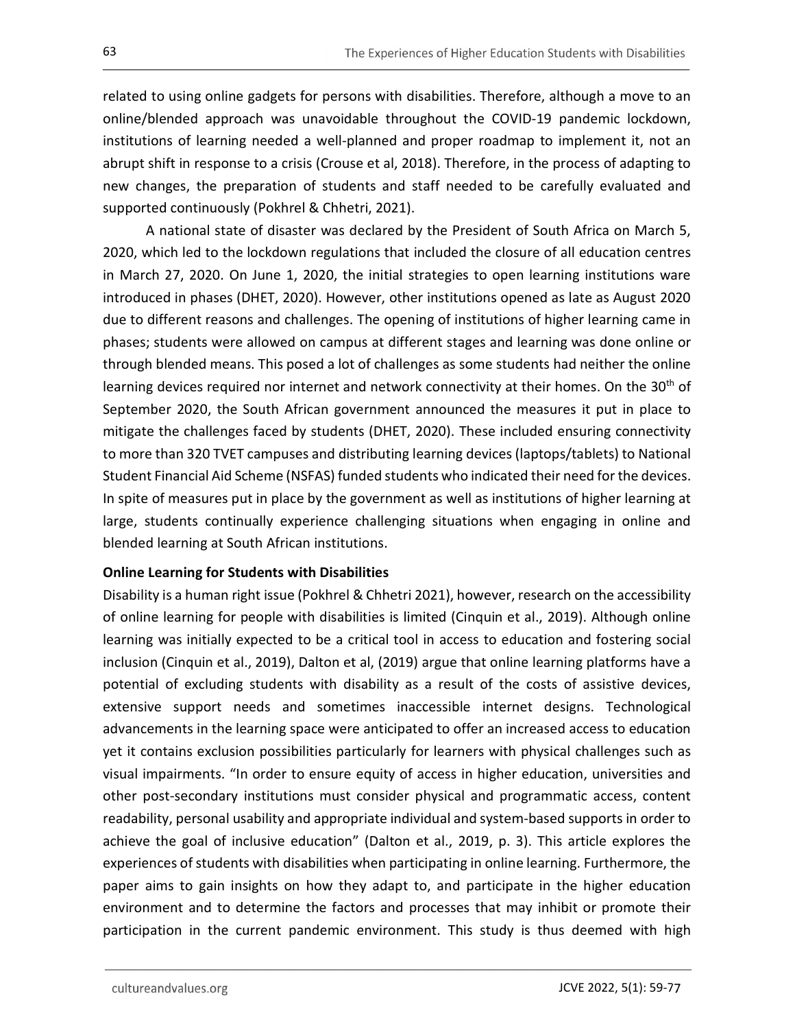related to using online gadgets for persons with disabilities. Therefore, although a move to an online/blended approach was unavoidable throughout the COVID-19 pandemic lockdown, institutions of learning needed a well-planned and proper roadmap to implement it, not an abrupt shift in response to a crisis (Crouse et al, 2018). Therefore, in the process of adapting to new changes, the preparation of students and staff needed to be carefully evaluated and supported continuously (Pokhrel & Chhetri, 2021).

A national state of disaster was declared by the President of South Africa on March 5, 2020, which led to the lockdown regulations that included the closure of all education centres in March 27, 2020. On June 1, 2020, the initial strategies to open learning institutions ware introduced in phases (DHET, 2020). However, other institutions opened as late as August 2020 due to different reasons and challenges. The opening of institutions of higher learning came in phases; students were allowed on campus at different stages and learning was done online or through blended means. This posed a lot of challenges as some students had neither the online learning devices required nor internet and network connectivity at their homes. On the  $30<sup>th</sup>$  of September 2020, the South African government announced the measures it put in place to mitigate the challenges faced by students (DHET, 2020). These included ensuring connectivity to more than 320 TVET campuses and distributing learning devices (laptops/tablets) to National Student Financial Aid Scheme (NSFAS) funded students who indicated their need for the devices. In spite of measures put in place by the government as well as institutions of higher learning at large, students continually experience challenging situations when engaging in online and blended learning at South African institutions.

## Online Learning for Students with Disabilities

Disability is a human right issue (Pokhrel & Chhetri 2021), however, research on the accessibility of online learning for people with disabilities is limited (Cinquin et al., 2019). Although online learning was initially expected to be a critical tool in access to education and fostering social inclusion (Cinquin et al., 2019), Dalton et al, (2019) argue that online learning platforms have a potential of excluding students with disability as a result of the costs of assistive devices, extensive support needs and sometimes inaccessible internet designs. Technological advancements in the learning space were anticipated to offer an increased access to education yet it contains exclusion possibilities particularly for learners with physical challenges such as visual impairments. "In order to ensure equity of access in higher education, universities and other post-secondary institutions must consider physical and programmatic access, content readability, personal usability and appropriate individual and system-based supports in order to achieve the goal of inclusive education" (Dalton et al., 2019, p. 3). This article explores the experiences of students with disabilities when participating in online learning. Furthermore, the paper aims to gain insights on how they adapt to, and participate in the higher education environment and to determine the factors and processes that may inhibit or promote their participation in the current pandemic environment. This study is thus deemed with high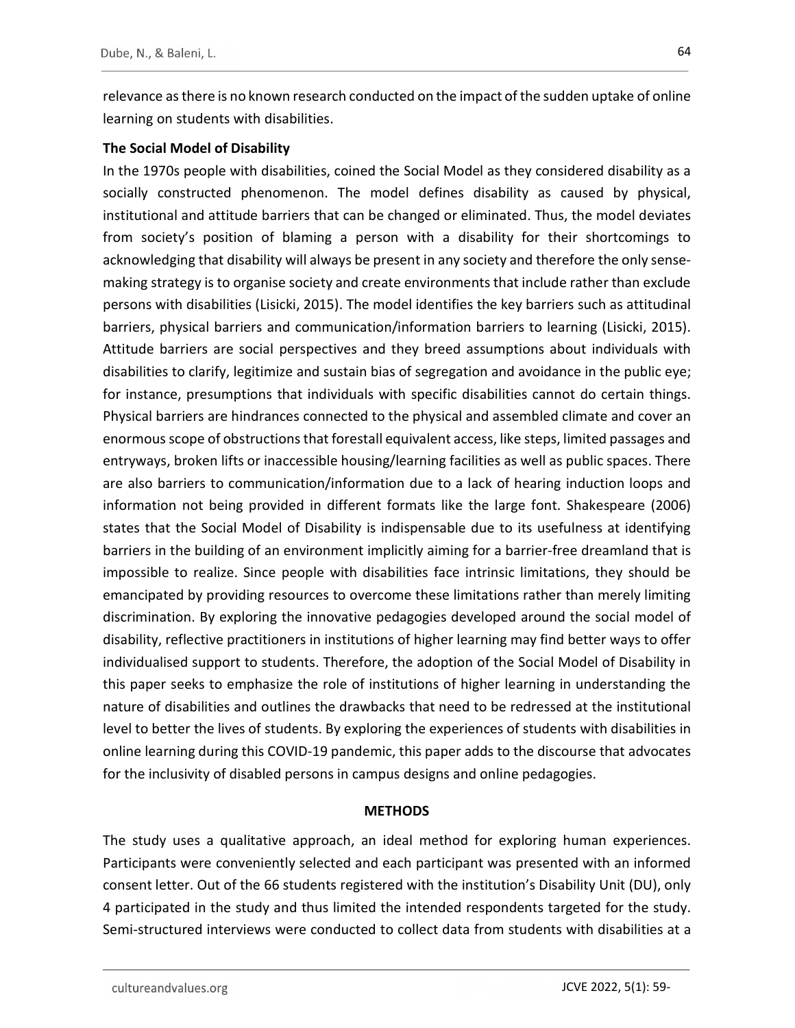relevance as there is no known research conducted on the impact of the sudden uptake of online learning on students with disabilities.

## The Social Model of Disability

In the 1970s people with disabilities, coined the Social Model as they considered disability as a socially constructed phenomenon. The model defines disability as caused by physical, institutional and attitude barriers that can be changed or eliminated. Thus, the model deviates from society's position of blaming a person with a disability for their shortcomings to acknowledging that disability will always be present in any society and therefore the only sensemaking strategy is to organise society and create environments that include rather than exclude persons with disabilities (Lisicki, 2015). The model identifies the key barriers such as attitudinal barriers, physical barriers and communication/information barriers to learning (Lisicki, 2015). Attitude barriers are social perspectives and they breed assumptions about individuals with disabilities to clarify, legitimize and sustain bias of segregation and avoidance in the public eye; for instance, presumptions that individuals with specific disabilities cannot do certain things. Physical barriers are hindrances connected to the physical and assembled climate and cover an enormous scope of obstructions that forestall equivalent access, like steps, limited passages and entryways, broken lifts or inaccessible housing/learning facilities as well as public spaces. There are also barriers to communication/information due to a lack of hearing induction loops and information not being provided in different formats like the large font. Shakespeare (2006) states that the Social Model of Disability is indispensable due to its usefulness at identifying barriers in the building of an environment implicitly aiming for a barrier-free dreamland that is impossible to realize. Since people with disabilities face intrinsic limitations, they should be emancipated by providing resources to overcome these limitations rather than merely limiting discrimination. By exploring the innovative pedagogies developed around the social model of disability, reflective practitioners in institutions of higher learning may find better ways to offer individualised support to students. Therefore, the adoption of the Social Model of Disability in this paper seeks to emphasize the role of institutions of higher learning in understanding the nature of disabilities and outlines the drawbacks that need to be redressed at the institutional level to better the lives of students. By exploring the experiences of students with disabilities in online learning during this COVID-19 pandemic, this paper adds to the discourse that advocates for the inclusivity of disabled persons in campus designs and online pedagogies.

#### **METHODS**

The study uses a qualitative approach, an ideal method for exploring human experiences. Participants were conveniently selected and each participant was presented with an informed consent letter. Out of the 66 students registered with the institution's Disability Unit (DU), only 4 participated in the study and thus limited the intended respondents targeted for the study. Semi-structured interviews were conducted to collect data from students with disabilities at a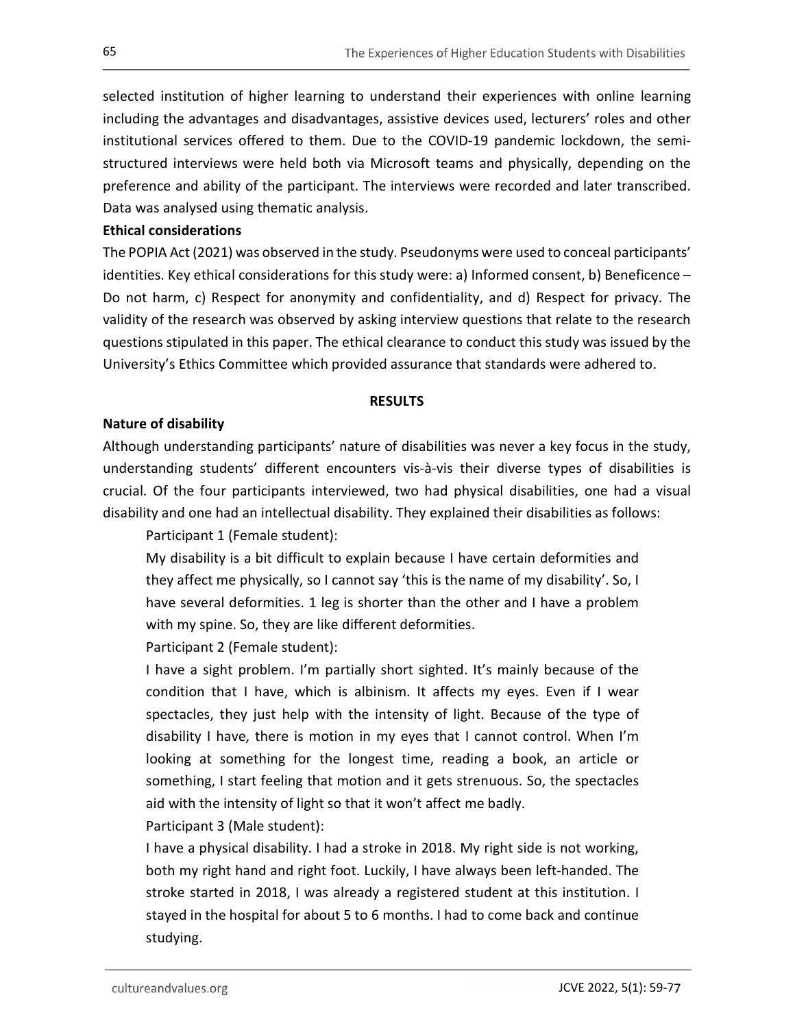selected institution of higher learning to understand their experiences with online learning including the advantages and disadvantages, assistive devices used, lecturers' roles and other institutional services offered to them. Due to the COVID-19 pandemic lockdown, the semistructured interviews were held both via Microsoft teams and physically, depending on the preference and ability of the participant. The interviews were recorded and later transcribed. Data was analysed using thematic analysis.

#### Ethical considerations

The POPIA Act (2021) was observed in the study. Pseudonyms were used to conceal participants' identities. Key ethical considerations for this study were: a) Informed consent, b) Beneficence – Do not harm, c) Respect for anonymity and confidentiality, and d) Respect for privacy. The validity of the research was observed by asking interview questions that relate to the research questions stipulated in this paper. The ethical clearance to conduct this study was issued by the University's Ethics Committee which provided assurance that standards were adhered to.

#### RESULTS

#### Nature of disability

Although understanding participants' nature of disabilities was never a key focus in the study, understanding students' different encounters vis-à-vis their diverse types of disabilities is crucial. Of the four participants interviewed, two had physical disabilities, one had a visual disability and one had an intellectual disability. They explained their disabilities as follows:

Participant 1 (Female student):

My disability is a bit difficult to explain because I have certain deformities and they affect me physically, so I cannot say 'this is the name of my disability'. So, I have several deformities. 1 leg is shorter than the other and I have a problem with my spine. So, they are like different deformities.

Participant 2 (Female student):

I have a sight problem. I'm partially short sighted. It's mainly because of the condition that I have, which is albinism. It affects my eyes. Even if I wear spectacles, they just help with the intensity of light. Because of the type of disability I have, there is motion in my eyes that I cannot control. When I'm looking at something for the longest time, reading a book, an article or something, I start feeling that motion and it gets strenuous. So, the spectacles aid with the intensity of light so that it won't affect me badly.

Participant 3 (Male student):

I have a physical disability. I had a stroke in 2018. My right side is not working, both my right hand and right foot. Luckily, I have always been left-handed. The stroke started in 2018, I was already a registered student at this institution. I stayed in the hospital for about 5 to 6 months. I had to come back and continue studying.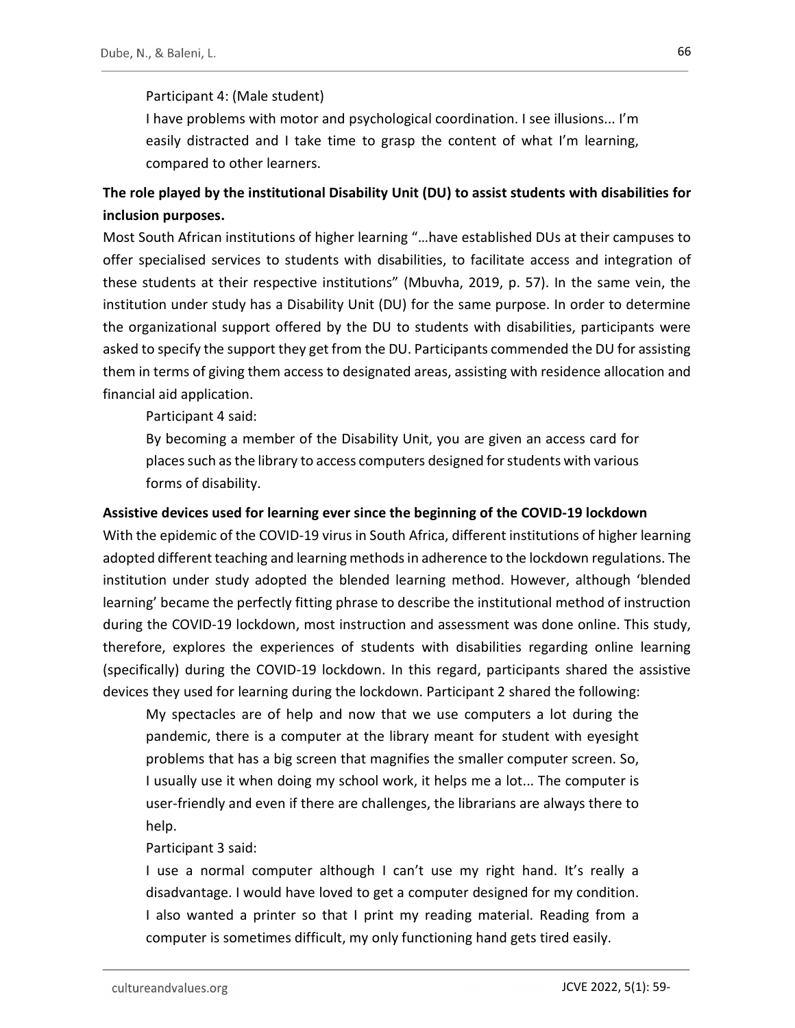## Participant 4: (Male student)

I have problems with motor and psychological coordination. I see illusions... I'm easily distracted and I take time to grasp the content of what I'm learning, compared to other learners.

## The role played by the institutional Disability Unit (DU) to assist students with disabilities for inclusion purposes.

Most South African institutions of higher learning "…have established DUs at their campuses to offer specialised services to students with disabilities, to facilitate access and integration of these students at their respective institutions" (Mbuvha, 2019, p. 57). In the same vein, the institution under study has a Disability Unit (DU) for the same purpose. In order to determine the organizational support offered by the DU to students with disabilities, participants were asked to specify the support they get from the DU. Participants commended the DU for assisting them in terms of giving them access to designated areas, assisting with residence allocation and financial aid application.

Participant 4 said:

By becoming a member of the Disability Unit, you are given an access card for places such as the library to access computers designed for students with various forms of disability.

#### Assistive devices used for learning ever since the beginning of the COVID-19 lockdown

With the epidemic of the COVID-19 virus in South Africa, different institutions of higher learning adopted different teaching and learning methods in adherence to the lockdown regulations. The institution under study adopted the blended learning method. However, although 'blended learning' became the perfectly fitting phrase to describe the institutional method of instruction during the COVID-19 lockdown, most instruction and assessment was done online. This study, therefore, explores the experiences of students with disabilities regarding online learning (specifically) during the COVID-19 lockdown. In this regard, participants shared the assistive devices they used for learning during the lockdown. Participant 2 shared the following:

My spectacles are of help and now that we use computers a lot during the pandemic, there is a computer at the library meant for student with eyesight problems that has a big screen that magnifies the smaller computer screen. So, I usually use it when doing my school work, it helps me a lot... The computer is user-friendly and even if there are challenges, the librarians are always there to help.

#### Participant 3 said:

I use a normal computer although I can't use my right hand. It's really a disadvantage. I would have loved to get a computer designed for my condition. I also wanted a printer so that I print my reading material. Reading from a computer is sometimes difficult, my only functioning hand gets tired easily.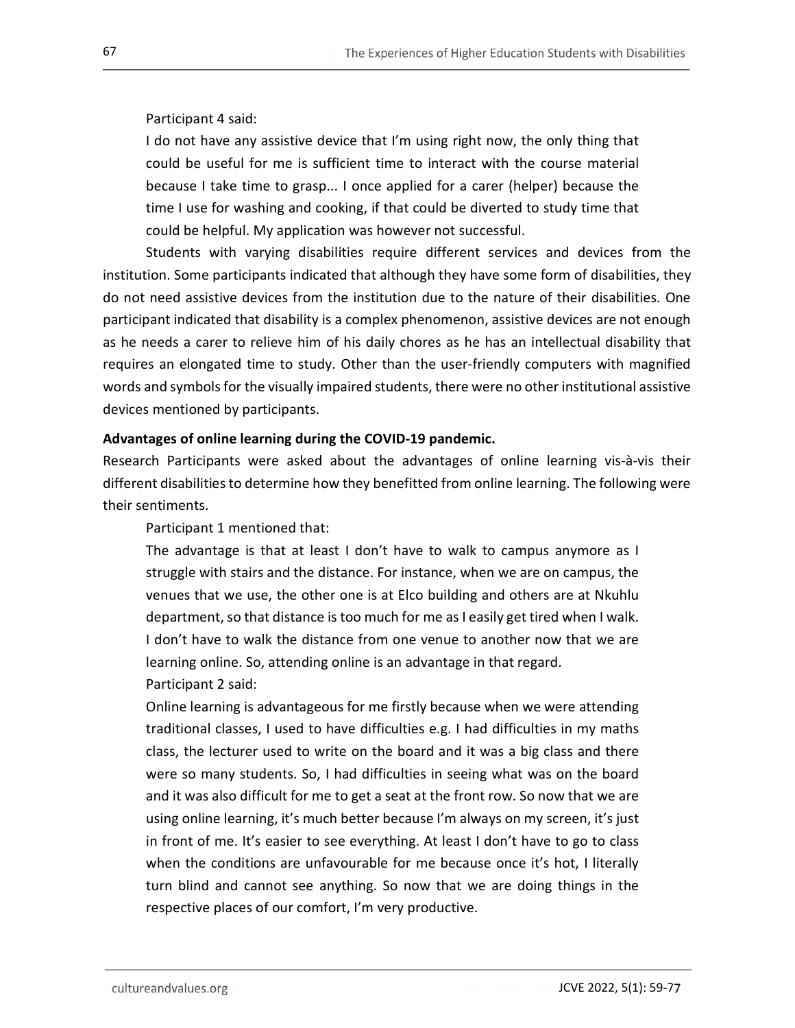## Participant 4 said:

I do not have any assistive device that I'm using right now, the only thing that could be useful for me is sufficient time to interact with the course material because I take time to grasp... I once applied for a carer (helper) because the time I use for washing and cooking, if that could be diverted to study time that could be helpful. My application was however not successful.

Students with varying disabilities require different services and devices from the institution. Some participants indicated that although they have some form of disabilities, they do not need assistive devices from the institution due to the nature of their disabilities. One participant indicated that disability is a complex phenomenon, assistive devices are not enough as he needs a carer to relieve him of his daily chores as he has an intellectual disability that requires an elongated time to study. Other than the user-friendly computers with magnified words and symbols for the visually impaired students, there were no other institutional assistive devices mentioned by participants.

## Advantages of online learning during the COVID-19 pandemic.

Research Participants were asked about the advantages of online learning vis-à-vis their different disabilities to determine how they benefitted from online learning. The following were their sentiments.

Participant 1 mentioned that:

The advantage is that at least I don't have to walk to campus anymore as I struggle with stairs and the distance. For instance, when we are on campus, the venues that we use, the other one is at Elco building and others are at Nkuhlu department, so that distance is too much for me as I easily get tired when I walk. I don't have to walk the distance from one venue to another now that we are learning online. So, attending online is an advantage in that regard. Participant 2 said:

Online learning is advantageous for me firstly because when we were attending traditional classes, I used to have difficulties e.g. I had difficulties in my maths class, the lecturer used to write on the board and it was a big class and there were so many students. So, I had difficulties in seeing what was on the board and it was also difficult for me to get a seat at the front row. So now that we are using online learning, it's much better because I'm always on my screen, it's just in front of me. It's easier to see everything. At least I don't have to go to class when the conditions are unfavourable for me because once it's hot, I literally turn blind and cannot see anything. So now that we are doing things in the respective places of our comfort, I'm very productive.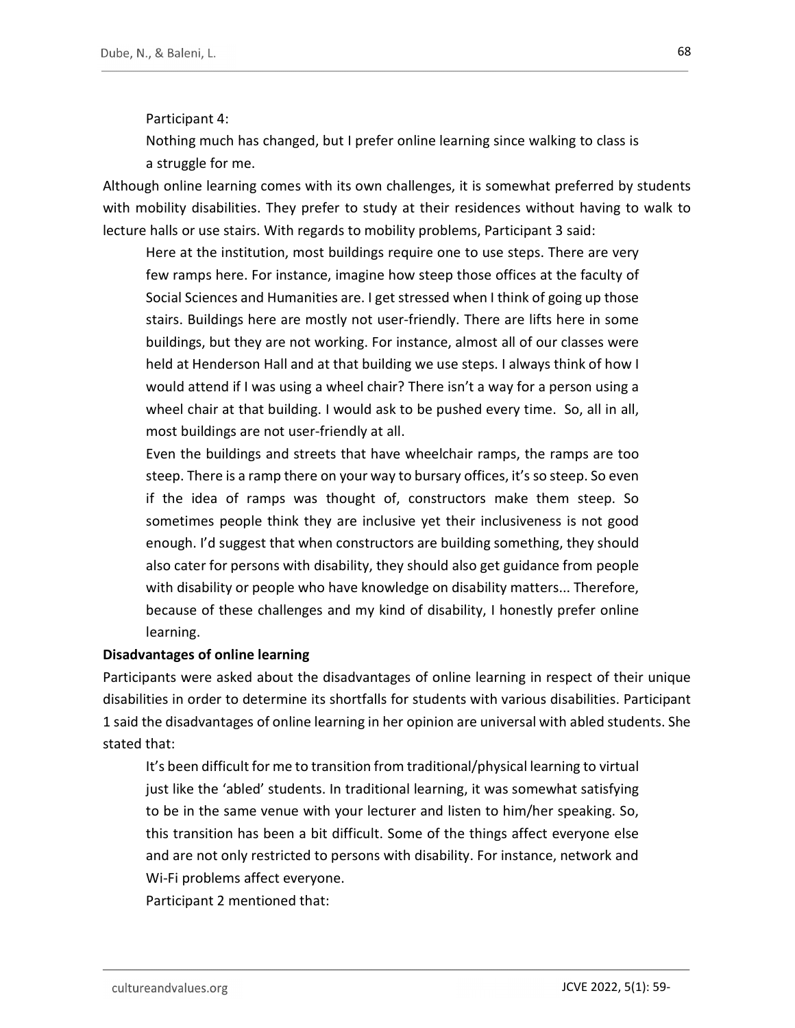Participant 4:

Nothing much has changed, but I prefer online learning since walking to class is a struggle for me.

Although online learning comes with its own challenges, it is somewhat preferred by students with mobility disabilities. They prefer to study at their residences without having to walk to lecture halls or use stairs. With regards to mobility problems, Participant 3 said:

Here at the institution, most buildings require one to use steps. There are very few ramps here. For instance, imagine how steep those offices at the faculty of Social Sciences and Humanities are. I get stressed when I think of going up those stairs. Buildings here are mostly not user-friendly. There are lifts here in some buildings, but they are not working. For instance, almost all of our classes were held at Henderson Hall and at that building we use steps. I always think of how I would attend if I was using a wheel chair? There isn't a way for a person using a wheel chair at that building. I would ask to be pushed every time. So, all in all, most buildings are not user-friendly at all.

Even the buildings and streets that have wheelchair ramps, the ramps are too steep. There is a ramp there on your way to bursary offices, it's so steep. So even if the idea of ramps was thought of, constructors make them steep. So sometimes people think they are inclusive yet their inclusiveness is not good enough. I'd suggest that when constructors are building something, they should also cater for persons with disability, they should also get guidance from people with disability or people who have knowledge on disability matters... Therefore, because of these challenges and my kind of disability, I honestly prefer online learning.

#### Disadvantages of online learning

Participants were asked about the disadvantages of online learning in respect of their unique disabilities in order to determine its shortfalls for students with various disabilities. Participant 1 said the disadvantages of online learning in her opinion are universal with abled students. She stated that:

It's been difficult for me to transition from traditional/physical learning to virtual just like the 'abled' students. In traditional learning, it was somewhat satisfying to be in the same venue with your lecturer and listen to him/her speaking. So, this transition has been a bit difficult. Some of the things affect everyone else and are not only restricted to persons with disability. For instance, network and Wi-Fi problems affect everyone.

Participant 2 mentioned that: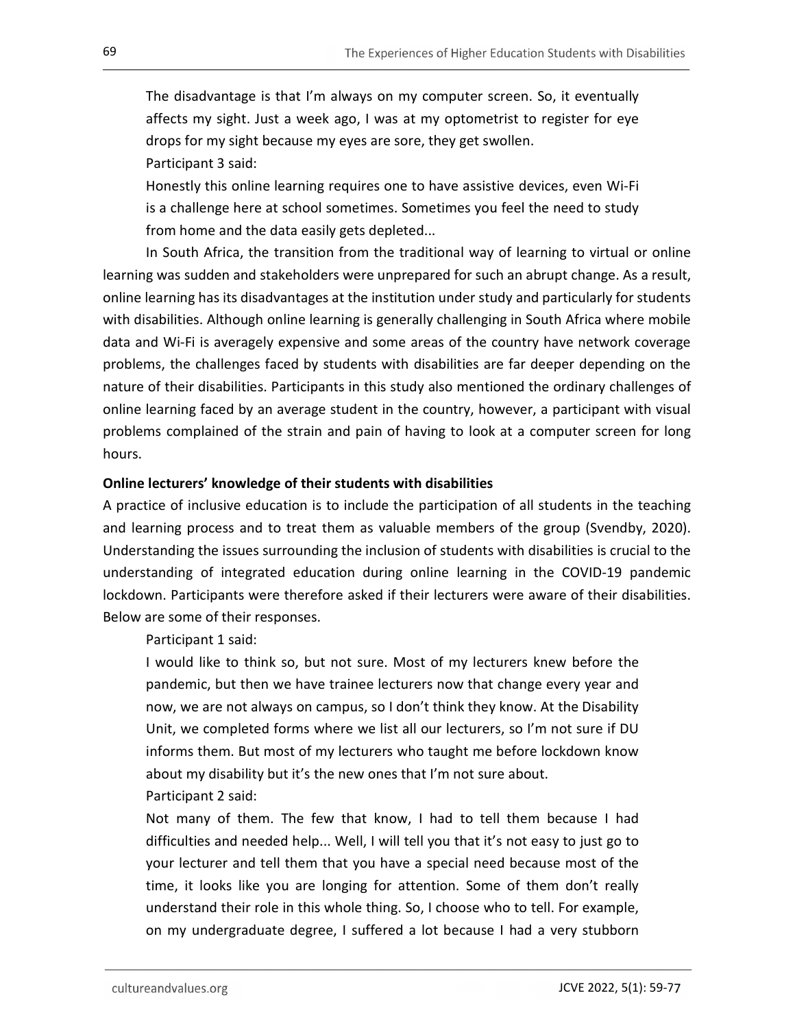The disadvantage is that I'm always on my computer screen. So, it eventually affects my sight. Just a week ago, I was at my optometrist to register for eye drops for my sight because my eyes are sore, they get swollen.

Participant 3 said:

Honestly this online learning requires one to have assistive devices, even Wi-Fi is a challenge here at school sometimes. Sometimes you feel the need to study from home and the data easily gets depleted...

In South Africa, the transition from the traditional way of learning to virtual or online learning was sudden and stakeholders were unprepared for such an abrupt change. As a result, online learning has its disadvantages at the institution under study and particularly for students with disabilities. Although online learning is generally challenging in South Africa where mobile data and Wi-Fi is averagely expensive and some areas of the country have network coverage problems, the challenges faced by students with disabilities are far deeper depending on the nature of their disabilities. Participants in this study also mentioned the ordinary challenges of online learning faced by an average student in the country, however, a participant with visual problems complained of the strain and pain of having to look at a computer screen for long hours.

#### Online lecturers' knowledge of their students with disabilities

A practice of inclusive education is to include the participation of all students in the teaching and learning process and to treat them as valuable members of the group (Svendby, 2020). Understanding the issues surrounding the inclusion of students with disabilities is crucial to the understanding of integrated education during online learning in the COVID-19 pandemic lockdown. Participants were therefore asked if their lecturers were aware of their disabilities. Below are some of their responses.

Participant 1 said:

I would like to think so, but not sure. Most of my lecturers knew before the pandemic, but then we have trainee lecturers now that change every year and now, we are not always on campus, so I don't think they know. At the Disability Unit, we completed forms where we list all our lecturers, so I'm not sure if DU informs them. But most of my lecturers who taught me before lockdown know about my disability but it's the new ones that I'm not sure about.

Participant 2 said:

Not many of them. The few that know, I had to tell them because I had difficulties and needed help... Well, I will tell you that it's not easy to just go to your lecturer and tell them that you have a special need because most of the time, it looks like you are longing for attention. Some of them don't really understand their role in this whole thing. So, I choose who to tell. For example, on my undergraduate degree, I suffered a lot because I had a very stubborn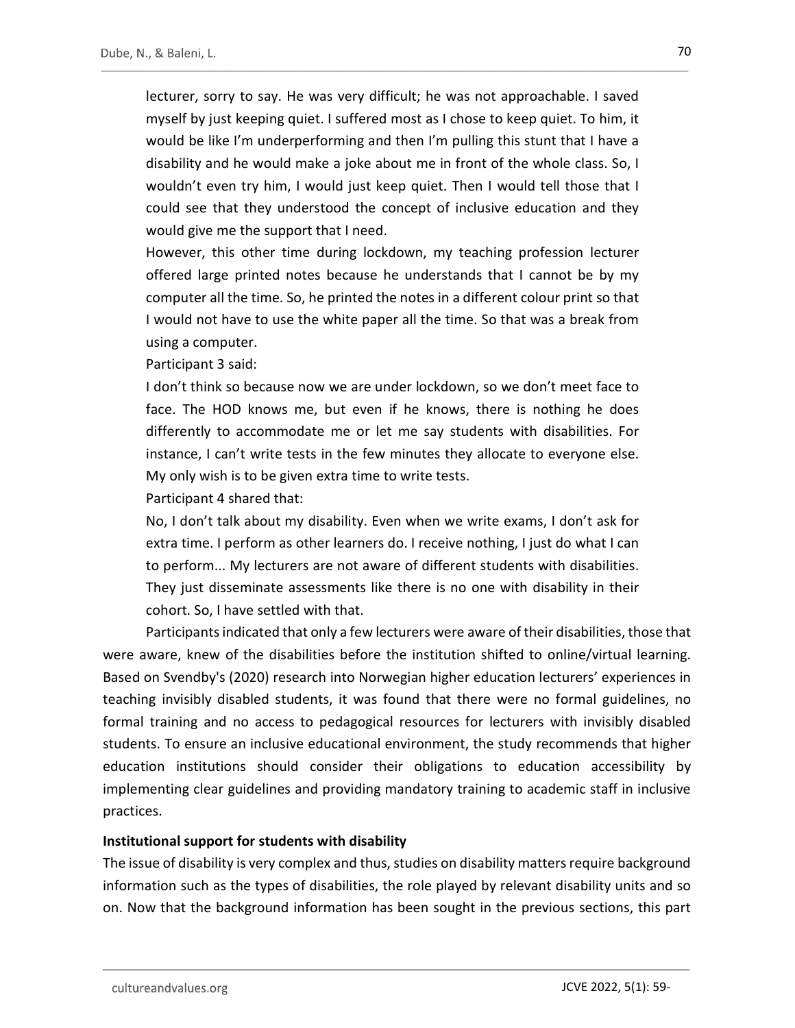lecturer, sorry to say. He was very difficult; he was not approachable. I saved myself by just keeping quiet. I suffered most as I chose to keep quiet. To him, it would be like I'm underperforming and then I'm pulling this stunt that I have a disability and he would make a joke about me in front of the whole class. So, I wouldn't even try him, I would just keep quiet. Then I would tell those that I could see that they understood the concept of inclusive education and they would give me the support that I need.

However, this other time during lockdown, my teaching profession lecturer offered large printed notes because he understands that I cannot be by my computer all the time. So, he printed the notes in a different colour print so that I would not have to use the white paper all the time. So that was a break from using a computer.

Participant 3 said:

I don't think so because now we are under lockdown, so we don't meet face to face. The HOD knows me, but even if he knows, there is nothing he does differently to accommodate me or let me say students with disabilities. For instance, I can't write tests in the few minutes they allocate to everyone else. My only wish is to be given extra time to write tests.

Participant 4 shared that:

No, I don't talk about my disability. Even when we write exams, I don't ask for extra time. I perform as other learners do. I receive nothing, I just do what I can to perform... My lecturers are not aware of different students with disabilities. They just disseminate assessments like there is no one with disability in their cohort. So, I have settled with that.

Participants indicated that only a few lecturers were aware of their disabilities, those that were aware, knew of the disabilities before the institution shifted to online/virtual learning. Based on Svendby's (2020) research into Norwegian higher education lecturers' experiences in teaching invisibly disabled students, it was found that there were no formal guidelines, no formal training and no access to pedagogical resources for lecturers with invisibly disabled students. To ensure an inclusive educational environment, the study recommends that higher education institutions should consider their obligations to education accessibility by implementing clear guidelines and providing mandatory training to academic staff in inclusive practices.

#### Institutional support for students with disability

The issue of disability is very complex and thus, studies on disability matters require background information such as the types of disabilities, the role played by relevant disability units and so on. Now that the background information has been sought in the previous sections, this part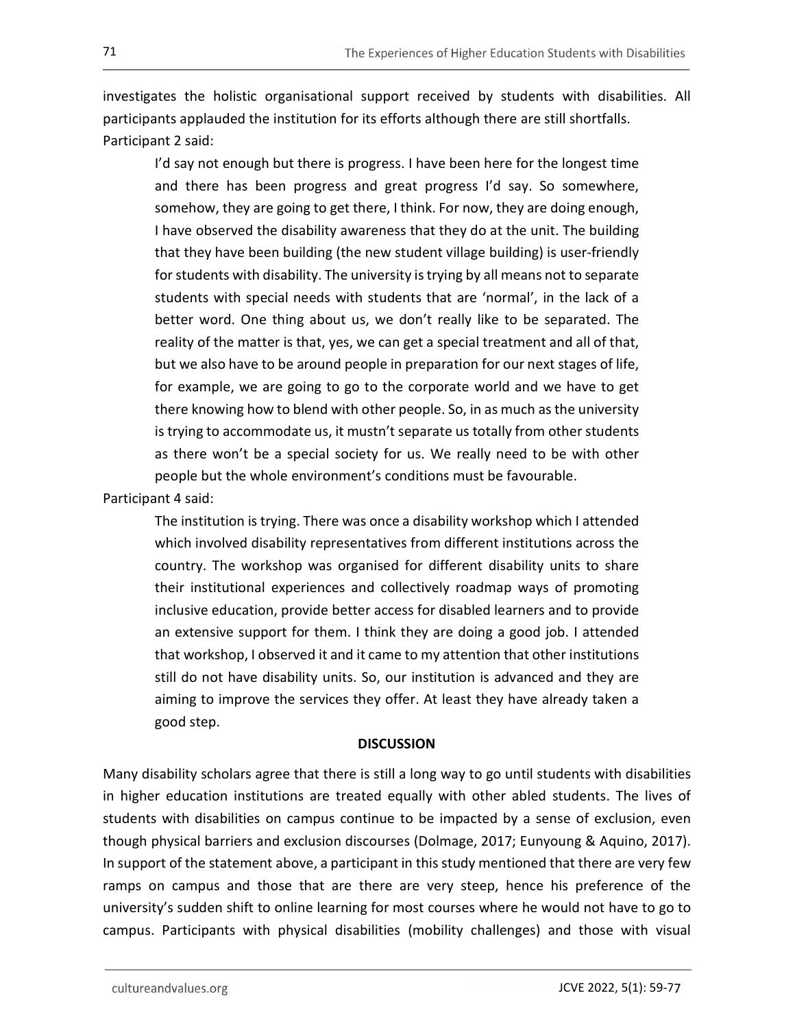investigates the holistic organisational support received by students with disabilities. All participants applauded the institution for its efforts although there are still shortfalls. Participant 2 said:

I'd say not enough but there is progress. I have been here for the longest time and there has been progress and great progress I'd say. So somewhere, somehow, they are going to get there, I think. For now, they are doing enough, I have observed the disability awareness that they do at the unit. The building that they have been building (the new student village building) is user-friendly for students with disability. The university is trying by all means not to separate students with special needs with students that are 'normal', in the lack of a better word. One thing about us, we don't really like to be separated. The reality of the matter is that, yes, we can get a special treatment and all of that, but we also have to be around people in preparation for our next stages of life, for example, we are going to go to the corporate world and we have to get there knowing how to blend with other people. So, in as much as the university is trying to accommodate us, it mustn't separate us totally from other students as there won't be a special society for us. We really need to be with other people but the whole environment's conditions must be favourable.

Participant 4 said:

The institution is trying. There was once a disability workshop which I attended which involved disability representatives from different institutions across the country. The workshop was organised for different disability units to share their institutional experiences and collectively roadmap ways of promoting inclusive education, provide better access for disabled learners and to provide an extensive support for them. I think they are doing a good job. I attended that workshop, I observed it and it came to my attention that other institutions still do not have disability units. So, our institution is advanced and they are aiming to improve the services they offer. At least they have already taken a good step.

#### **DISCUSSION**

Many disability scholars agree that there is still a long way to go until students with disabilities in higher education institutions are treated equally with other abled students. The lives of students with disabilities on campus continue to be impacted by a sense of exclusion, even though physical barriers and exclusion discourses (Dolmage, 2017; Eunyoung & Aquino, 2017). In support of the statement above, a participant in this study mentioned that there are very few ramps on campus and those that are there are very steep, hence his preference of the university's sudden shift to online learning for most courses where he would not have to go to campus. Participants with physical disabilities (mobility challenges) and those with visual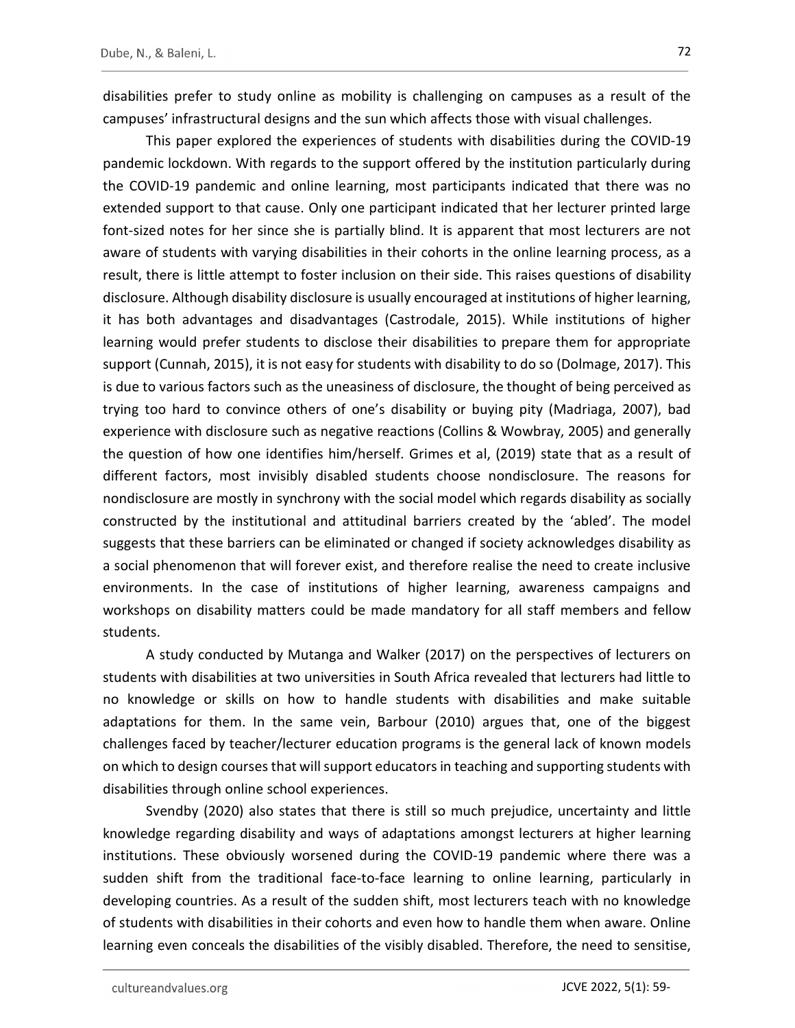disabilities prefer to study online as mobility is challenging on campuses as a result of the campuses' infrastructural designs and the sun which affects those with visual challenges.

This paper explored the experiences of students with disabilities during the COVID-19 pandemic lockdown. With regards to the support offered by the institution particularly during the COVID-19 pandemic and online learning, most participants indicated that there was no extended support to that cause. Only one participant indicated that her lecturer printed large font-sized notes for her since she is partially blind. It is apparent that most lecturers are not aware of students with varying disabilities in their cohorts in the online learning process, as a result, there is little attempt to foster inclusion on their side. This raises questions of disability disclosure. Although disability disclosure is usually encouraged at institutions of higher learning, it has both advantages and disadvantages (Castrodale, 2015). While institutions of higher learning would prefer students to disclose their disabilities to prepare them for appropriate support (Cunnah, 2015), it is not easy for students with disability to do so (Dolmage, 2017). This is due to various factors such as the uneasiness of disclosure, the thought of being perceived as trying too hard to convince others of one's disability or buying pity (Madriaga, 2007), bad experience with disclosure such as negative reactions (Collins & Wowbray, 2005) and generally the question of how one identifies him/herself. Grimes et al, (2019) state that as a result of different factors, most invisibly disabled students choose nondisclosure. The reasons for nondisclosure are mostly in synchrony with the social model which regards disability as socially constructed by the institutional and attitudinal barriers created by the 'abled'. The model suggests that these barriers can be eliminated or changed if society acknowledges disability as a social phenomenon that will forever exist, and therefore realise the need to create inclusive environments. In the case of institutions of higher learning, awareness campaigns and workshops on disability matters could be made mandatory for all staff members and fellow students.

A study conducted by Mutanga and Walker (2017) on the perspectives of lecturers on students with disabilities at two universities in South Africa revealed that lecturers had little to no knowledge or skills on how to handle students with disabilities and make suitable adaptations for them. In the same vein, Barbour (2010) argues that, one of the biggest challenges faced by teacher/lecturer education programs is the general lack of known models on which to design courses that will support educators in teaching and supporting students with disabilities through online school experiences.

Svendby (2020) also states that there is still so much prejudice, uncertainty and little knowledge regarding disability and ways of adaptations amongst lecturers at higher learning institutions. These obviously worsened during the COVID-19 pandemic where there was a sudden shift from the traditional face-to-face learning to online learning, particularly in developing countries. As a result of the sudden shift, most lecturers teach with no knowledge of students with disabilities in their cohorts and even how to handle them when aware. Online learning even conceals the disabilities of the visibly disabled. Therefore, the need to sensitise,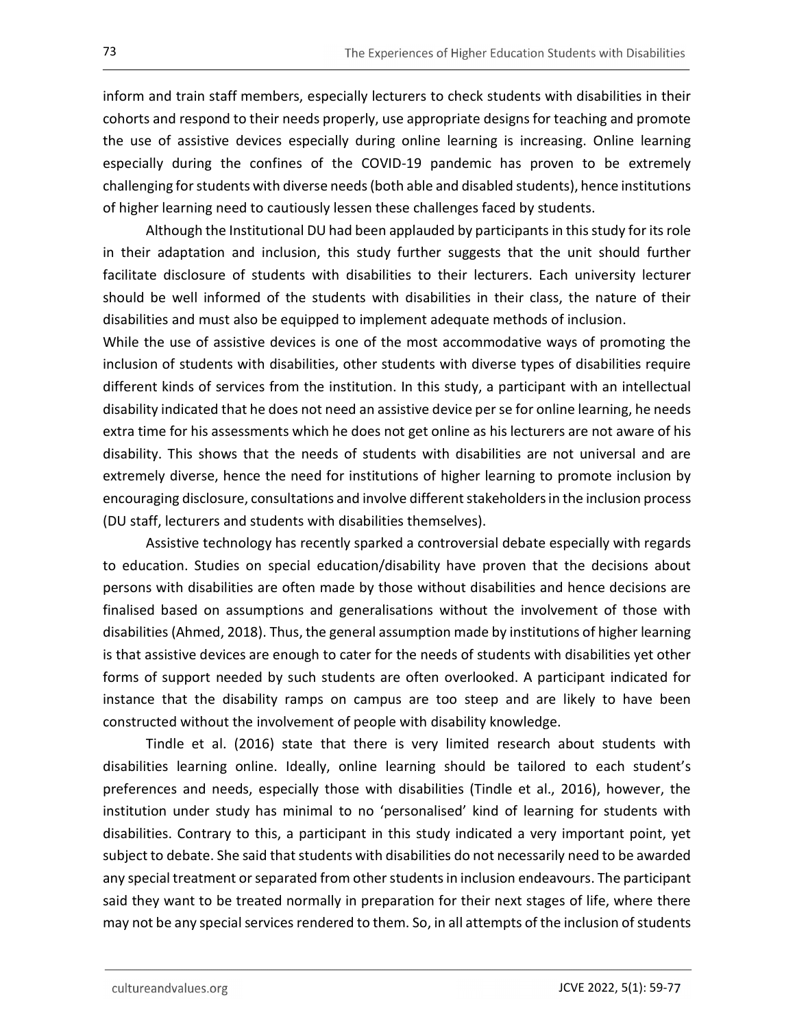inform and train staff members, especially lecturers to check students with disabilities in their cohorts and respond to their needs properly, use appropriate designs for teaching and promote the use of assistive devices especially during online learning is increasing. Online learning especially during the confines of the COVID-19 pandemic has proven to be extremely challenging for students with diverse needs (both able and disabled students), hence institutions of higher learning need to cautiously lessen these challenges faced by students.

Although the Institutional DU had been applauded by participants in this study for its role in their adaptation and inclusion, this study further suggests that the unit should further facilitate disclosure of students with disabilities to their lecturers. Each university lecturer should be well informed of the students with disabilities in their class, the nature of their disabilities and must also be equipped to implement adequate methods of inclusion.

While the use of assistive devices is one of the most accommodative ways of promoting the inclusion of students with disabilities, other students with diverse types of disabilities require different kinds of services from the institution. In this study, a participant with an intellectual disability indicated that he does not need an assistive device per se for online learning, he needs extra time for his assessments which he does not get online as his lecturers are not aware of his disability. This shows that the needs of students with disabilities are not universal and are extremely diverse, hence the need for institutions of higher learning to promote inclusion by encouraging disclosure, consultations and involve different stakeholders in the inclusion process (DU staff, lecturers and students with disabilities themselves).

Assistive technology has recently sparked a controversial debate especially with regards to education. Studies on special education/disability have proven that the decisions about persons with disabilities are often made by those without disabilities and hence decisions are finalised based on assumptions and generalisations without the involvement of those with disabilities (Ahmed, 2018). Thus, the general assumption made by institutions of higher learning is that assistive devices are enough to cater for the needs of students with disabilities yet other forms of support needed by such students are often overlooked. A participant indicated for instance that the disability ramps on campus are too steep and are likely to have been constructed without the involvement of people with disability knowledge.

Tindle et al. (2016) state that there is very limited research about students with disabilities learning online. Ideally, online learning should be tailored to each student's preferences and needs, especially those with disabilities (Tindle et al., 2016), however, the institution under study has minimal to no 'personalised' kind of learning for students with disabilities. Contrary to this, a participant in this study indicated a very important point, yet subject to debate. She said that students with disabilities do not necessarily need to be awarded any special treatment or separated from other students in inclusion endeavours. The participant said they want to be treated normally in preparation for their next stages of life, where there may not be any special services rendered to them. So, in all attempts of the inclusion of students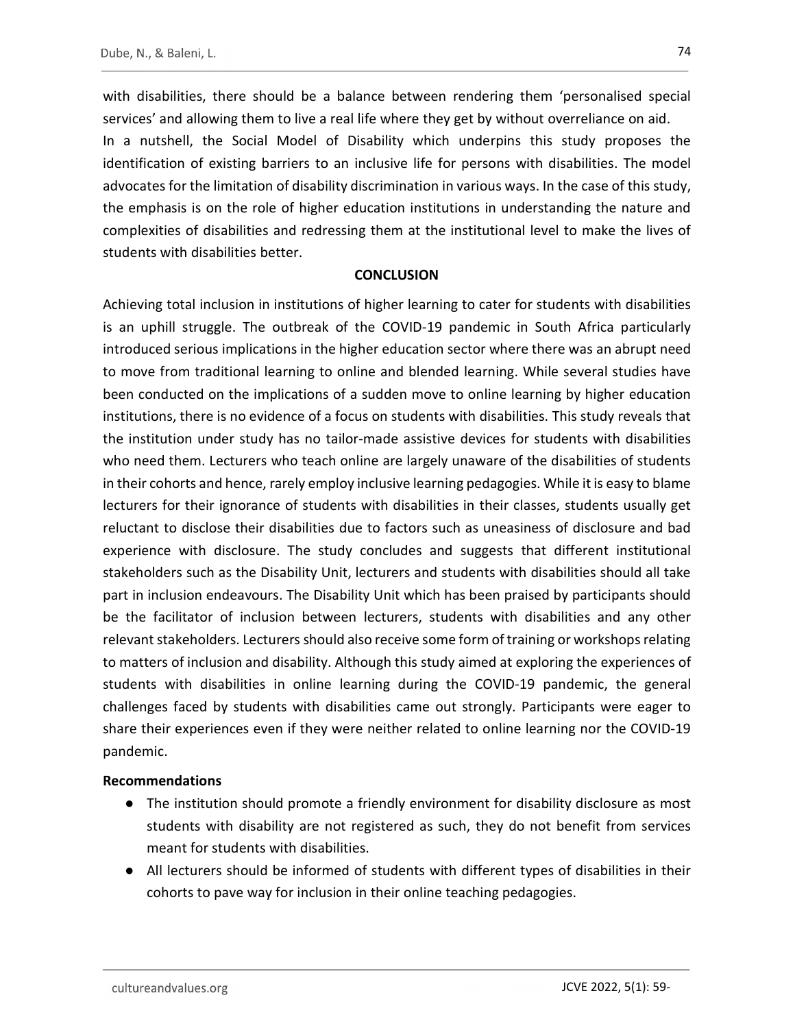with disabilities, there should be a balance between rendering them 'personalised special services' and allowing them to live a real life where they get by without overreliance on aid. In a nutshell, the Social Model of Disability which underpins this study proposes the identification of existing barriers to an inclusive life for persons with disabilities. The model advocates for the limitation of disability discrimination in various ways. In the case of this study, the emphasis is on the role of higher education institutions in understanding the nature and complexities of disabilities and redressing them at the institutional level to make the lives of students with disabilities better.

#### **CONCLUSION**

Achieving total inclusion in institutions of higher learning to cater for students with disabilities is an uphill struggle. The outbreak of the COVID-19 pandemic in South Africa particularly introduced serious implications in the higher education sector where there was an abrupt need to move from traditional learning to online and blended learning. While several studies have been conducted on the implications of a sudden move to online learning by higher education institutions, there is no evidence of a focus on students with disabilities. This study reveals that the institution under study has no tailor-made assistive devices for students with disabilities who need them. Lecturers who teach online are largely unaware of the disabilities of students in their cohorts and hence, rarely employ inclusive learning pedagogies. While it is easy to blame lecturers for their ignorance of students with disabilities in their classes, students usually get reluctant to disclose their disabilities due to factors such as uneasiness of disclosure and bad experience with disclosure. The study concludes and suggests that different institutional stakeholders such as the Disability Unit, lecturers and students with disabilities should all take part in inclusion endeavours. The Disability Unit which has been praised by participants should be the facilitator of inclusion between lecturers, students with disabilities and any other relevant stakeholders. Lecturers should also receive some form of training or workshops relating to matters of inclusion and disability. Although this study aimed at exploring the experiences of students with disabilities in online learning during the COVID-19 pandemic, the general challenges faced by students with disabilities came out strongly. Participants were eager to share their experiences even if they were neither related to online learning nor the COVID-19 pandemic.

#### Recommendations

- The institution should promote a friendly environment for disability disclosure as most students with disability are not registered as such, they do not benefit from services meant for students with disabilities.
- All lecturers should be informed of students with different types of disabilities in their cohorts to pave way for inclusion in their online teaching pedagogies.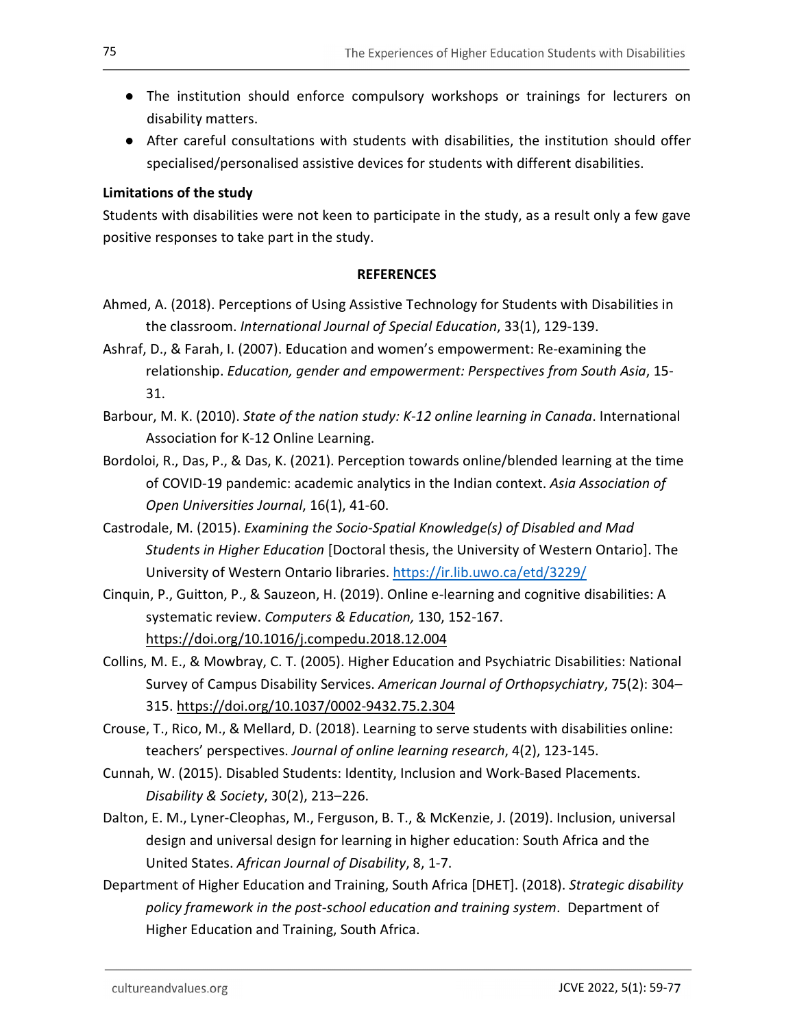- The institution should enforce compulsory workshops or trainings for lecturers on disability matters.
- After careful consultations with students with disabilities, the institution should offer specialised/personalised assistive devices for students with different disabilities.

## Limitations of the study

Students with disabilities were not keen to participate in the study, as a result only a few gave positive responses to take part in the study.

#### **REFERENCES**

- Ahmed, A. (2018). Perceptions of Using Assistive Technology for Students with Disabilities in the classroom. International Journal of Special Education, 33(1), 129-139.
- Ashraf, D., & Farah, I. (2007). Education and women's empowerment: Re-examining the relationship. Education, gender and empowerment: Perspectives from South Asia, 15- 31.
- Barbour, M. K. (2010). State of the nation study: K-12 online learning in Canada. International Association for K-12 Online Learning.
- Bordoloi, R., Das, P., & Das, K. (2021). Perception towards online/blended learning at the time of COVID-19 pandemic: academic analytics in the Indian context. Asia Association of Open Universities Journal, 16(1), 41-60.
- Castrodale, M. (2015). Examining the Socio-Spatial Knowledge(s) of Disabled and Mad Students in Higher Education [Doctoral thesis, the University of Western Ontario]. The
- University of Western Ontario libraries. https://ir.lib.uwo.ca/etd/3229/<br>Cinquin, P., Guitton, P., & Sauzeon, H. (2019). Online e-learning and cognitive disabilities: A systematic review. Computers & Education, 130, 152-167. https://doi.org/10.1016/j.compedu.2018.12.004
- Collins, M. E., & Mowbray, C. T. (2005). Higher Education and Psychiatric Disabilities: National Survey of Campus Disability Services. American Journal of Orthopsychiatry, 75(2): 304– 315. https://doi.org/10.1037/0002-9432.75.2.304
- Crouse, T., Rico, M., & Mellard, D. (2018). Learning to serve students with disabilities online: teachers' perspectives. Journal of online learning research, 4(2), 123-145.
- Cunnah, W. (2015). Disabled Students: Identity, Inclusion and Work-Based Placements. Disability & Society, 30(2), 213–226.
- Dalton, E. M., Lyner-Cleophas, M., Ferguson, B. T., & McKenzie, J. (2019). Inclusion, universal design and universal design for learning in higher education: South Africa and the United States. African Journal of Disability, 8, 1-7.
- Department of Higher Education and Training, South Africa [DHET]. (2018). Strategic disability policy framework in the post-school education and training system. Department of Higher Education and Training, South Africa.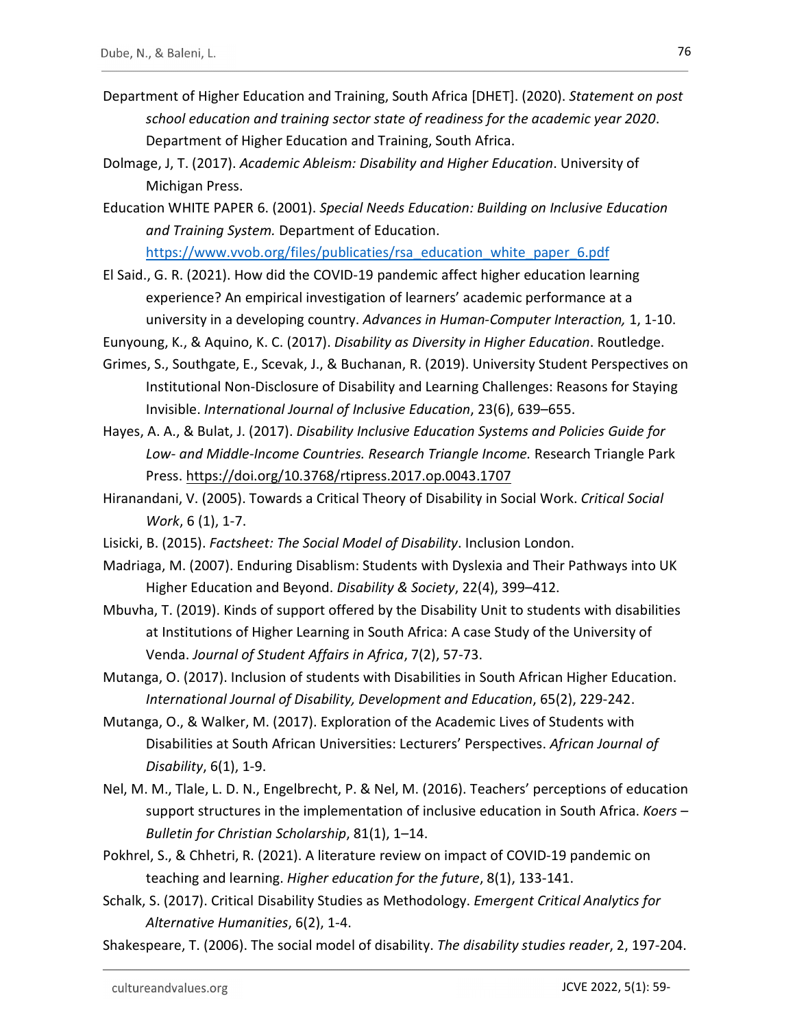- Department of Higher Education and Training, South Africa [DHET]. (2020). Statement on post school education and training sector state of readiness for the academic year 2020.<br>Department of Higher Education and Training, South Africa.
- Dolmage, J, T. (2017). Academic Ableism: Disability and Higher Education. University of Michigan Press.
- Education WHITE PAPER 6. (2001). Special Needs Education: Building on Inclusive Education and Training System. Department of Education.

https://www.vvob.org/files/publicaties/rsa\_education\_white\_paper\_6.pdf El Said., G. R. (2021). How did the COVID-19 pandemic affect higher education learning experience? An empirical investigation of learners' academic performance at a university in a developing country. Advances in Human-Computer Interaction, 1, 1-10.

Eunyoung, K., & Aquino, K. C. (2017). Disability as Diversity in Higher Education. Routledge.

- Grimes, S., Southgate, E., Scevak, J., & Buchanan, R. (2019). University Student Perspectives on Institutional Non-Disclosure of Disability and Learning Challenges: Reasons for Staying Invisible. International Journal of Inclusive Education, 23(6), 639–655.
- Hayes, A. A., & Bulat, J. (2017). Disability Inclusive Education Systems and Policies Guide for Low- and Middle-Income Countries. Research Triangle Income. Research Triangle Park Press. https://doi.org/10.3768/rtipress.2017.op.0043.1707
- Hiranandani, V. (2005). Towards a Critical Theory of Disability in Social Work. Critical Social Work, 6 (1), 1-7.
- Lisicki, B. (2015). Factsheet: The Social Model of Disability. Inclusion London.
- Madriaga, M. (2007). Enduring Disablism: Students with Dyslexia and Their Pathways into UK Higher Education and Beyond. Disability & Society, 22(4), 399–412.
- Mbuvha, T. (2019). Kinds of support offered by the Disability Unit to students with disabilities at Institutions of Higher Learning in South Africa: A case Study of the University of Venda. Journal of Student Affairs in Africa, 7(2), 57-73.
- Mutanga, O. (2017). Inclusion of students with Disabilities in South African Higher Education. International Journal of Disability, Development and Education, 65(2), 229-242.
- Mutanga, O., & Walker, M. (2017). Exploration of the Academic Lives of Students with Disabilities at South African Universities: Lecturers' Perspectives. African Journal of Disability, 6(1), 1-9.
- Nel, M. M., Tlale, L. D. N., Engelbrecht, P. & Nel, M. (2016). Teachers' perceptions of education support structures in the implementation of inclusive education in South Africa. Koers – Bulletin for Christian Scholarship, 81(1), 1–14.
- Pokhrel, S., & Chhetri, R. (2021). A literature review on impact of COVID-19 pandemic on teaching and learning. Higher education for the future, 8(1), 133-141.
- Schalk, S. (2017). Critical Disability Studies as Methodology. Emergent Critical Analytics for Alternative Humanities, 6(2), 1-4.
- Shakespeare, T. (2006). The social model of disability. The disability studies reader, 2, 197-204.